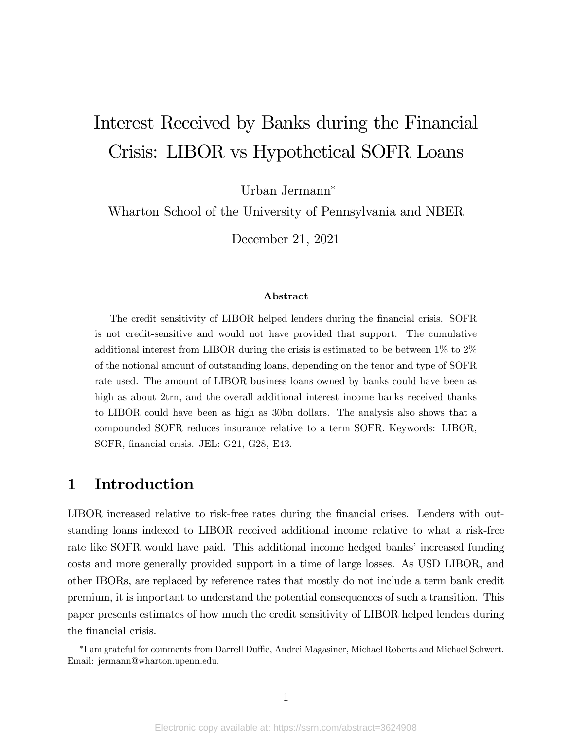# Interest Received by Banks during the Financial Crisis: LIBOR vs Hypothetical SOFR Loans

Urban Jermann

Wharton School of the University of Pennsylvania and NBER

December 21, 2021

#### Abstract

The credit sensitivity of LIBOR helped lenders during the Önancial crisis. SOFR is not credit-sensitive and would not have provided that support. The cumulative additional interest from LIBOR during the crisis is estimated to be between 1% to 2% of the notional amount of outstanding loans, depending on the tenor and type of SOFR rate used. The amount of LIBOR business loans owned by banks could have been as high as about 2trn, and the overall additional interest income banks received thanks to LIBOR could have been as high as 30bn dollars. The analysis also shows that a compounded SOFR reduces insurance relative to a term SOFR. Keywords: LIBOR, SOFR, financial crisis. JEL: G21, G28, E43.

### 1 Introduction

LIBOR increased relative to risk-free rates during the Önancial crises. Lenders with outstanding loans indexed to LIBOR received additional income relative to what a risk-free rate like SOFR would have paid. This additional income hedged banks' increased funding costs and more generally provided support in a time of large losses. As USD LIBOR, and other IBORs, are replaced by reference rates that mostly do not include a term bank credit premium, it is important to understand the potential consequences of such a transition. This paper presents estimates of how much the credit sensitivity of LIBOR helped lenders during the financial crisis.

 $^{\ast}$ I am grateful for comments from Darrell Duffie, Andrei Magasiner, Michael Roberts and Michael Schwert. Email: jermann@wharton.upenn.edu.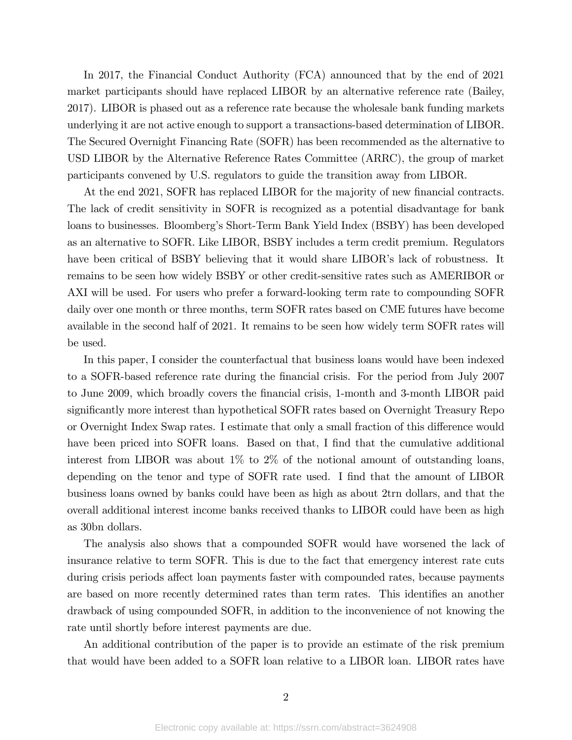In 2017, the Financial Conduct Authority (FCA) announced that by the end of 2021 market participants should have replaced LIBOR by an alternative reference rate (Bailey, 2017). LIBOR is phased out as a reference rate because the wholesale bank funding markets underlying it are not active enough to support a transactions-based determination of LIBOR. The Secured Overnight Financing Rate (SOFR) has been recommended as the alternative to USD LIBOR by the Alternative Reference Rates Committee (ARRC), the group of market participants convened by U.S. regulators to guide the transition away from LIBOR.

At the end 2021, SOFR has replaced LIBOR for the majority of new financial contracts. The lack of credit sensitivity in SOFR is recognized as a potential disadvantage for bank loans to businesses. Bloomberg's Short-Term Bank Yield Index (BSBY) has been developed as an alternative to SOFR. Like LIBOR, BSBY includes a term credit premium. Regulators have been critical of BSBY believing that it would share LIBOR's lack of robustness. It remains to be seen how widely BSBY or other credit-sensitive rates such as AMERIBOR or AXI will be used. For users who prefer a forward-looking term rate to compounding SOFR daily over one month or three months, term SOFR rates based on CME futures have become available in the second half of 2021. It remains to be seen how widely term SOFR rates will be used.

In this paper, I consider the counterfactual that business loans would have been indexed to a SOFR-based reference rate during the financial crisis. For the period from July 2007 to June 2009, which broadly covers the Önancial crisis, 1-month and 3-month LIBOR paid significantly more interest than hypothetical SOFR rates based on Overnight Treasury Repo or Overnight Index Swap rates. I estimate that only a small fraction of this difference would have been priced into SOFR loans. Based on that, I find that the cumulative additional interest from LIBOR was about 1% to 2% of the notional amount of outstanding loans, depending on the tenor and type of SOFR rate used. I find that the amount of LIBOR business loans owned by banks could have been as high as about 2trn dollars, and that the overall additional interest income banks received thanks to LIBOR could have been as high as 30bn dollars.

The analysis also shows that a compounded SOFR would have worsened the lack of insurance relative to term SOFR. This is due to the fact that emergency interest rate cuts during crisis periods affect loan payments faster with compounded rates, because payments are based on more recently determined rates than term rates. This identifies an another drawback of using compounded SOFR, in addition to the inconvenience of not knowing the rate until shortly before interest payments are due.

An additional contribution of the paper is to provide an estimate of the risk premium that would have been added to a SOFR loan relative to a LIBOR loan. LIBOR rates have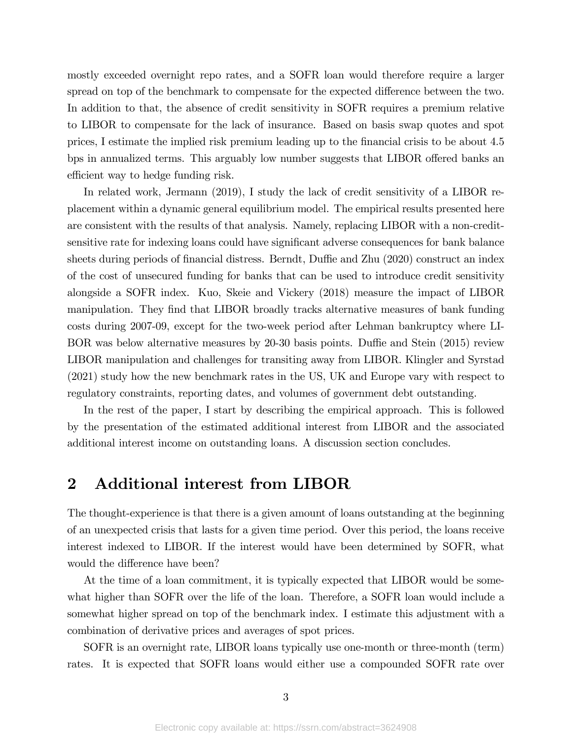mostly exceeded overnight repo rates, and a SOFR loan would therefore require a larger spread on top of the benchmark to compensate for the expected difference between the two. In addition to that, the absence of credit sensitivity in SOFR requires a premium relative to LIBOR to compensate for the lack of insurance. Based on basis swap quotes and spot prices, I estimate the implied risk premium leading up to the financial crisis to be about 4.5 bps in annualized terms. This arguably low number suggests that LIBOR offered banks an efficient way to hedge funding risk.

In related work, Jermann (2019), I study the lack of credit sensitivity of a LIBOR replacement within a dynamic general equilibrium model. The empirical results presented here are consistent with the results of that analysis. Namely, replacing LIBOR with a non-creditsensitive rate for indexing loans could have significant adverse consequences for bank balance sheets during periods of financial distress. Berndt, Duffie and Zhu (2020) construct an index of the cost of unsecured funding for banks that can be used to introduce credit sensitivity alongside a SOFR index. Kuo, Skeie and Vickery (2018) measure the impact of LIBOR manipulation. They find that LIBOR broadly tracks alternative measures of bank funding costs during 2007-09, except for the two-week period after Lehman bankruptcy where LI-BOR was below alternative measures by 20-30 basis points. Duffie and Stein (2015) review LIBOR manipulation and challenges for transiting away from LIBOR. Klingler and Syrstad (2021) study how the new benchmark rates in the US, UK and Europe vary with respect to regulatory constraints, reporting dates, and volumes of government debt outstanding.

In the rest of the paper, I start by describing the empirical approach. This is followed by the presentation of the estimated additional interest from LIBOR and the associated additional interest income on outstanding loans. A discussion section concludes.

### 2 Additional interest from LIBOR

The thought-experience is that there is a given amount of loans outstanding at the beginning of an unexpected crisis that lasts for a given time period. Over this period, the loans receive interest indexed to LIBOR. If the interest would have been determined by SOFR, what would the difference have been?

At the time of a loan commitment, it is typically expected that LIBOR would be somewhat higher than SOFR over the life of the loan. Therefore, a SOFR loan would include a somewhat higher spread on top of the benchmark index. I estimate this adjustment with a combination of derivative prices and averages of spot prices.

SOFR is an overnight rate, LIBOR loans typically use one-month or three-month (term) rates. It is expected that SOFR loans would either use a compounded SOFR rate over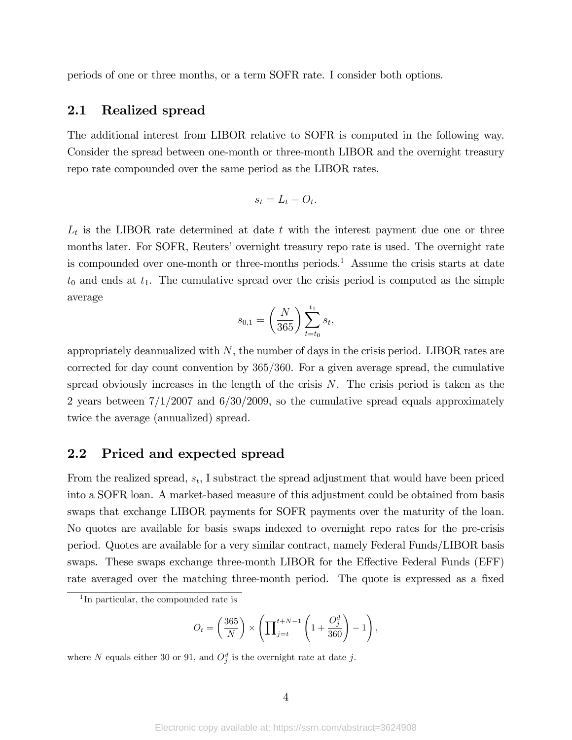periods of one or three months, or a term SOFR rate. I consider both options.

#### 2.1 Realized spread

The additional interest from LIBOR relative to SOFR is computed in the following way. Consider the spread between one-month or three-month LIBOR and the overnight treasury repo rate compounded over the same period as the LIBOR rates,

$$
s_t = L_t - O_t.
$$

 $L_t$  is the LIBOR rate determined at date t with the interest payment due one or three months later. For SOFR, Reuters' overnight treasury repo rate is used. The overnight rate is compounded over one-month or three-months periods.<sup>1</sup> Assume the crisis starts at date  $t_0$  and ends at  $t_1$ . The cumulative spread over the crisis period is computed as the simple average

$$
s_{0,1} = \left(\frac{N}{365}\right) \sum_{t=t_0}^{t_1} s_t,
$$

appropriately deannualized with  $N$ , the number of days in the crisis period. LIBOR rates are corrected for day count convention by  $365/360$ . For a given average spread, the cumulative spread obviously increases in the length of the crisis  $N$ . The crisis period is taken as the 2 years between  $7/1/2007$  and  $6/30/2009$ , so the cumulative spread equals approximately twice the average (annualized) spread.

#### 2.2 Priced and expected spread

From the realized spread,  $s_t$ , I substract the spread adjustment that would have been priced into a SOFR loan. A market-based measure of this adjustment could be obtained from basis swaps that exchange LIBOR payments for SOFR payments over the maturity of the loan. No quotes are available for basis swaps indexed to overnight repo rates for the pre-crisis period. Quotes are available for a very similar contract, namely Federal Funds/LIBOR basis swaps. These swaps exchange three-month LIBOR for the Effective Federal Funds (EFF) rate averaged over the matching three-month period. The quote is expressed as a fixed

$$
O_t = \left(\frac{365}{N}\right) \times \left(\prod_{j=t}^{t+N-1} \left(1 + \frac{O_j^d}{360}\right) - 1\right),\,
$$

where N equals either 30 or 91, and  $O_j^d$  is the overnight rate at date j.

<sup>1</sup> In particular, the compounded rate is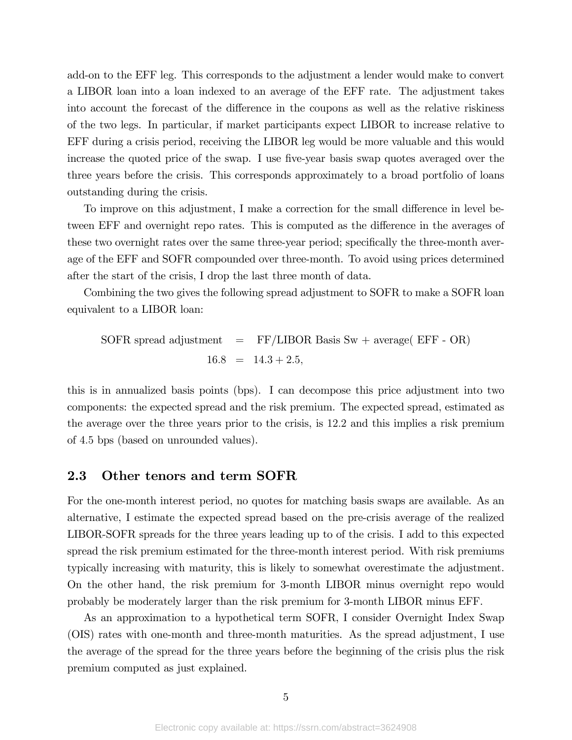add-on to the EFF leg. This corresponds to the adjustment a lender would make to convert a LIBOR loan into a loan indexed to an average of the EFF rate. The adjustment takes into account the forecast of the difference in the coupons as well as the relative riskiness of the two legs. In particular, if market participants expect LIBOR to increase relative to EFF during a crisis period, receiving the LIBOR leg would be more valuable and this would increase the quoted price of the swap. I use five-year basis swap quotes averaged over the three years before the crisis. This corresponds approximately to a broad portfolio of loans outstanding during the crisis.

To improve on this adjustment, I make a correction for the small difference in level between EFF and overnight repo rates. This is computed as the difference in the averages of these two overnight rates over the same three-year period; specifically the three-month average of the EFF and SOFR compounded over three-month. To avoid using prices determined after the start of the crisis, I drop the last three month of data.

Combining the two gives the following spread adjustment to SOFR to make a SOFR loan equivalent to a LIBOR loan:

 $S$ OFR spread adjustment = FF/LIBOR Basis Sw + average( EFF - OR)  $16.8 = 14.3 + 2.5,$ 

this is in annualized basis points (bps). I can decompose this price adjustment into two components: the expected spread and the risk premium. The expected spread, estimated as the average over the three years prior to the crisis, is 12:2 and this implies a risk premium of 4:5 bps (based on unrounded values).

#### 2.3 Other tenors and term SOFR

For the one-month interest period, no quotes for matching basis swaps are available. As an alternative, I estimate the expected spread based on the pre-crisis average of the realized LIBOR-SOFR spreads for the three years leading up to of the crisis. I add to this expected spread the risk premium estimated for the three-month interest period. With risk premiums typically increasing with maturity, this is likely to somewhat overestimate the adjustment. On the other hand, the risk premium for 3-month LIBOR minus overnight repo would probably be moderately larger than the risk premium for 3-month LIBOR minus EFF.

As an approximation to a hypothetical term SOFR, I consider Overnight Index Swap (OIS) rates with one-month and three-month maturities. As the spread adjustment, I use the average of the spread for the three years before the beginning of the crisis plus the risk premium computed as just explained.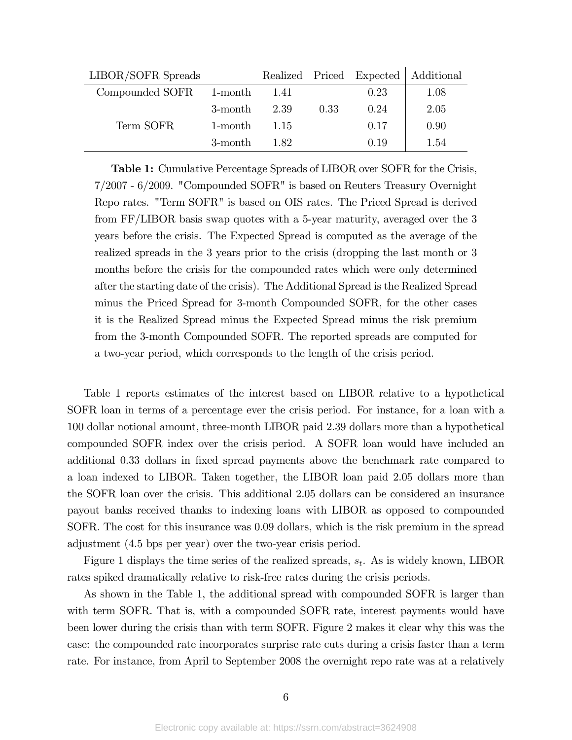| LIBOR/SOFR Spreads      |            |      |      |      | Realized Priced Expected   Additional |
|-------------------------|------------|------|------|------|---------------------------------------|
| Compounded SOFR 1-month |            | 1.41 |      | 0.23 | 1.08                                  |
|                         | 3-month    | 2.39 | 0.33 | 0.24 | 2.05                                  |
| Term SOFR               | $1$ -month | 1.15 |      | 0.17 | 0.90                                  |
|                         | 3-month    | 182  |      | 0.19 | 1.54                                  |

Table 1: Cumulative Percentage Spreads of LIBOR over SOFR for the Crisis, 7/2007 - 6/2009. "Compounded SOFR" is based on Reuters Treasury Overnight Repo rates. "Term SOFR" is based on OIS rates. The Priced Spread is derived from FF/LIBOR basis swap quotes with a 5-year maturity, averaged over the 3 years before the crisis. The Expected Spread is computed as the average of the realized spreads in the 3 years prior to the crisis (dropping the last month or 3 months before the crisis for the compounded rates which were only determined after the starting date of the crisis). The Additional Spread is the Realized Spread minus the Priced Spread for 3-month Compounded SOFR, for the other cases it is the Realized Spread minus the Expected Spread minus the risk premium from the 3-month Compounded SOFR. The reported spreads are computed for a two-year period, which corresponds to the length of the crisis period.

Table 1 reports estimates of the interest based on LIBOR relative to a hypothetical SOFR loan in terms of a percentage ever the crisis period. For instance, for a loan with a 100 dollar notional amount, three-month LIBOR paid 2.39 dollars more than a hypothetical compounded SOFR index over the crisis period. A SOFR loan would have included an additional 0.33 dollars in fixed spread payments above the benchmark rate compared to a loan indexed to LIBOR. Taken together, the LIBOR loan paid 2.05 dollars more than the SOFR loan over the crisis. This additional 2.05 dollars can be considered an insurance payout banks received thanks to indexing loans with LIBOR as opposed to compounded SOFR. The cost for this insurance was 0.09 dollars, which is the risk premium in the spread adjustment (4.5 bps per year) over the two-year crisis period.

Figure 1 displays the time series of the realized spreads,  $s_t$ . As is widely known, LIBOR rates spiked dramatically relative to risk-free rates during the crisis periods.

As shown in the Table 1, the additional spread with compounded SOFR is larger than with term SOFR. That is, with a compounded SOFR rate, interest payments would have been lower during the crisis than with term SOFR. Figure 2 makes it clear why this was the case: the compounded rate incorporates surprise rate cuts during a crisis faster than a term rate. For instance, from April to September 2008 the overnight repo rate was at a relatively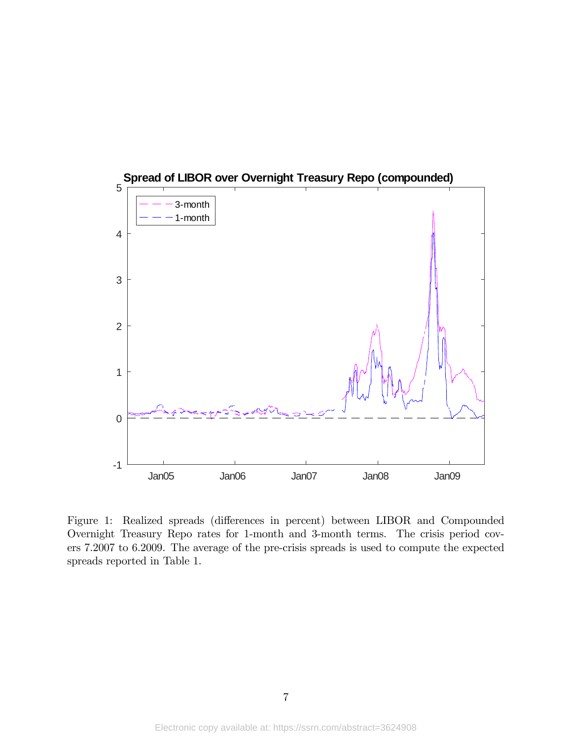

Figure 1: Realized spreads (differences in percent) between LIBOR and Compounded Overnight Treasury Repo rates for 1-month and 3-month terms. The crisis period covers 7.2007 to 6.2009. The average of the pre-crisis spreads is used to compute the expected spreads reported in Table 1.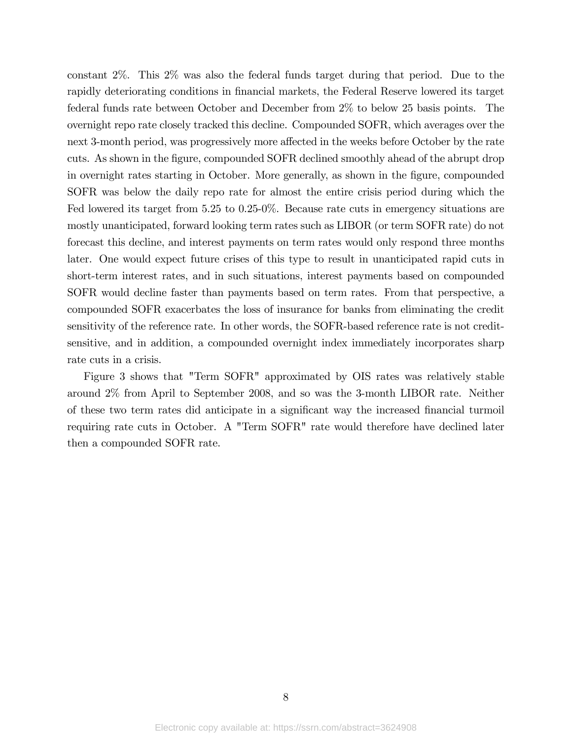constant 2%. This 2% was also the federal funds target during that period. Due to the rapidly deteriorating conditions in financial markets, the Federal Reserve lowered its target federal funds rate between October and December from 2% to below 25 basis points. The overnight repo rate closely tracked this decline. Compounded SOFR, which averages over the next 3-month period, was progressively more affected in the weeks before October by the rate cuts. As shown in the figure, compounded SOFR declined smoothly ahead of the abrupt drop in overnight rates starting in October. More generally, as shown in the figure, compounded SOFR was below the daily repo rate for almost the entire crisis period during which the Fed lowered its target from 5.25 to 0.25-0%. Because rate cuts in emergency situations are mostly unanticipated, forward looking term rates such as LIBOR (or term SOFR rate) do not forecast this decline, and interest payments on term rates would only respond three months later. One would expect future crises of this type to result in unanticipated rapid cuts in short-term interest rates, and in such situations, interest payments based on compounded SOFR would decline faster than payments based on term rates. From that perspective, a compounded SOFR exacerbates the loss of insurance for banks from eliminating the credit sensitivity of the reference rate. In other words, the SOFR-based reference rate is not creditsensitive, and in addition, a compounded overnight index immediately incorporates sharp rate cuts in a crisis.

Figure 3 shows that "Term SOFR" approximated by OIS rates was relatively stable around 2% from April to September 2008, and so was the 3-month LIBOR rate. Neither of these two term rates did anticipate in a significant way the increased financial turmoil requiring rate cuts in October. A "Term SOFR" rate would therefore have declined later then a compounded SOFR rate.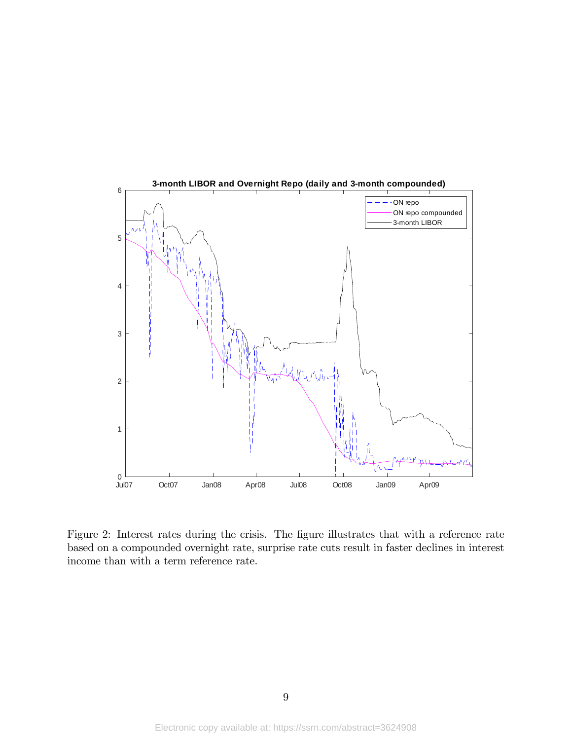

Figure 2: Interest rates during the crisis. The figure illustrates that with a reference rate based on a compounded overnight rate, surprise rate cuts result in faster declines in interest income than with a term reference rate.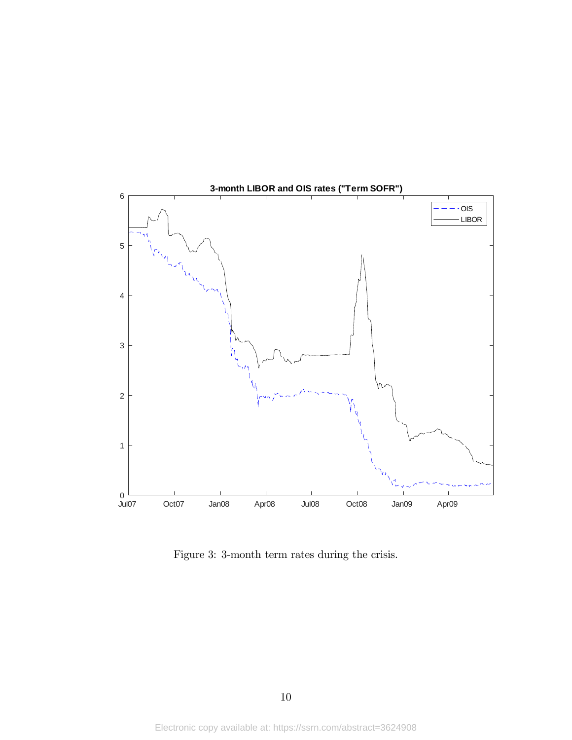

Figure 3: 3-month term rates during the crisis.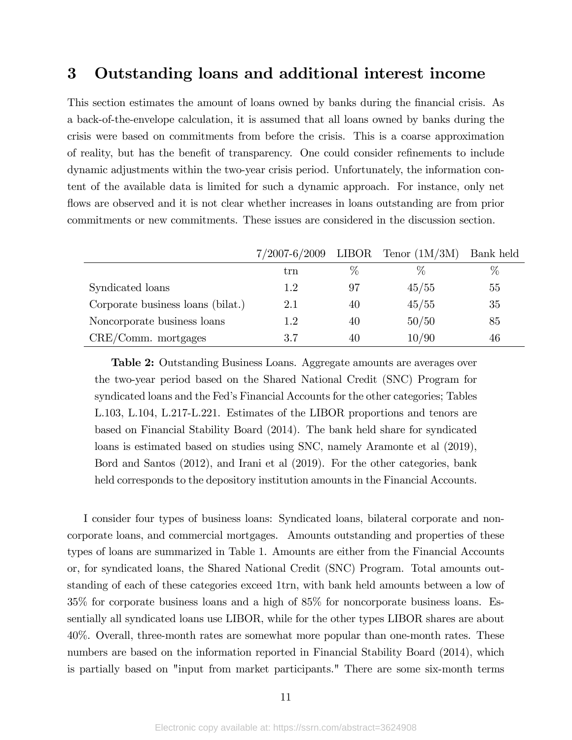### 3 Outstanding loans and additional interest income

This section estimates the amount of loans owned by banks during the financial crisis. As a back-of-the-envelope calculation, it is assumed that all loans owned by banks during the crisis were based on commitments from before the crisis. This is a coarse approximation of reality, but has the benefit of transparency. One could consider refinements to include dynamic adjustments within the two-year crisis period. Unfortunately, the information content of the available data is limited for such a dynamic approach. For instance, only net flows are observed and it is not clear whether increases in loans outstanding are from prior commitments or new commitments. These issues are considered in the discussion section.

|                                   |         |    | $7/2007-6/2009$ LIBOR Tenor $(1M/3M)$ | Bank held |
|-----------------------------------|---------|----|---------------------------------------|-----------|
|                                   | trn     | %  | $\%$                                  | $\%$      |
| Syndicated loans                  | 1.2     | 97 | 45/55                                 | 55        |
| Corporate business loans (bilat.) | 2.1     | 40 | 45/55                                 | 35        |
| Noncorporate business loans       | $1.2\,$ | 40 | 50/50                                 | 85        |
| $CRE/Comm.$ mortgages             | 3.7     | 40 | 10/90                                 | 46        |

Table 2: Outstanding Business Loans. Aggregate amounts are averages over the two-year period based on the Shared National Credit (SNC) Program for syndicated loans and the Fedís Financial Accounts for the other categories; Tables L.103, L.104, L.217-L.221. Estimates of the LIBOR proportions and tenors are based on Financial Stability Board (2014). The bank held share for syndicated loans is estimated based on studies using SNC, namely Aramonte et al (2019), Bord and Santos (2012), and Irani et al (2019). For the other categories, bank held corresponds to the depository institution amounts in the Financial Accounts.

I consider four types of business loans: Syndicated loans, bilateral corporate and noncorporate loans, and commercial mortgages. Amounts outstanding and properties of these types of loans are summarized in Table 1. Amounts are either from the Financial Accounts or, for syndicated loans, the Shared National Credit (SNC) Program. Total amounts outstanding of each of these categories exceed 1trn, with bank held amounts between a low of 35% for corporate business loans and a high of 85% for noncorporate business loans. Essentially all syndicated loans use LIBOR, while for the other types LIBOR shares are about 40%. Overall, three-month rates are somewhat more popular than one-month rates. These numbers are based on the information reported in Financial Stability Board (2014), which is partially based on "input from market participants." There are some six-month terms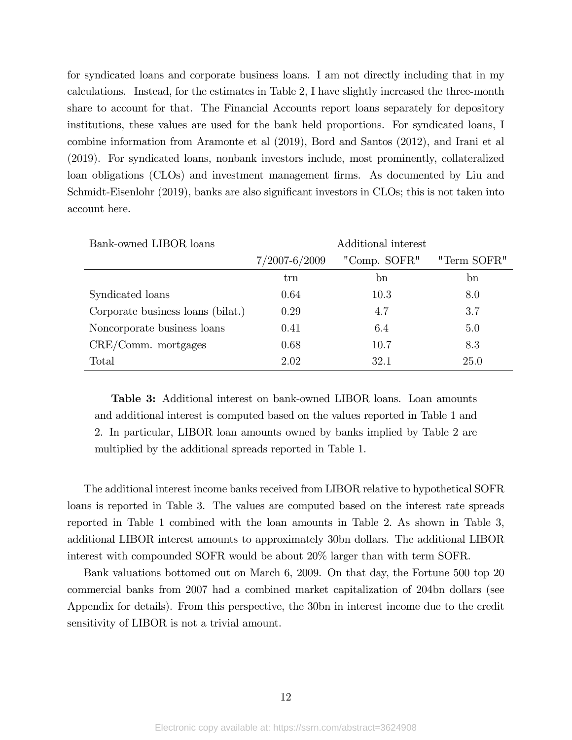for syndicated loans and corporate business loans. I am not directly including that in my calculations. Instead, for the estimates in Table 2, I have slightly increased the three-month share to account for that. The Financial Accounts report loans separately for depository institutions, these values are used for the bank held proportions. For syndicated loans, I combine information from Aramonte et al (2019), Bord and Santos (2012), and Irani et al (2019). For syndicated loans, nonbank investors include, most prominently, collateralized loan obligations (CLOs) and investment management firms. As documented by Liu and Schmidt-Eisenlohr (2019), banks are also significant investors in CLOs; this is not taken into account here.

| Bank-owned LIBOR loans            | Additional interest |              |             |
|-----------------------------------|---------------------|--------------|-------------|
|                                   | $7/2007 - 6/2009$   | "Comp. SOFR" | "Term SOFR" |
|                                   | trn                 | bn           | bn          |
| Syndicated loans                  | 0.64                | 10.3         | 8.0         |
| Corporate business loans (bilat.) | 0.29                | 4.7          | 3.7         |
| Noncorporate business loans       | 0.41                | 6.4          | 5.0         |
| $CRE/Comm.$ mortgages             | 0.68                | 10.7         | 8.3         |
| Total                             | 2.02                | 32.1         | 25.0        |

Table 3: Additional interest on bank-owned LIBOR loans. Loan amounts and additional interest is computed based on the values reported in Table 1 and 2. In particular, LIBOR loan amounts owned by banks implied by Table 2 are multiplied by the additional spreads reported in Table 1.

The additional interest income banks received from LIBOR relative to hypothetical SOFR loans is reported in Table 3. The values are computed based on the interest rate spreads reported in Table 1 combined with the loan amounts in Table 2. As shown in Table 3, additional LIBOR interest amounts to approximately 30bn dollars. The additional LIBOR interest with compounded SOFR would be about 20% larger than with term SOFR.

Bank valuations bottomed out on March 6, 2009. On that day, the Fortune 500 top 20 commercial banks from 2007 had a combined market capitalization of 204bn dollars (see Appendix for details). From this perspective, the 30bn in interest income due to the credit sensitivity of LIBOR is not a trivial amount.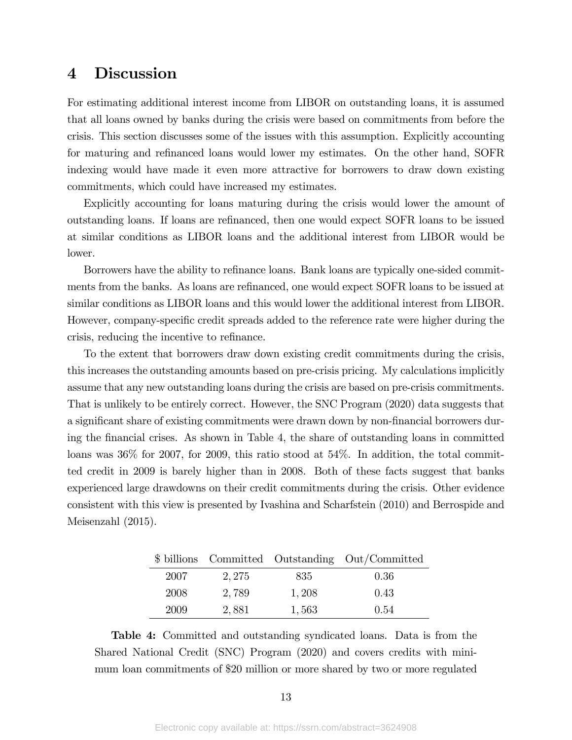### 4 Discussion

For estimating additional interest income from LIBOR on outstanding loans, it is assumed that all loans owned by banks during the crisis were based on commitments from before the crisis. This section discusses some of the issues with this assumption. Explicitly accounting for maturing and refinanced loans would lower my estimates. On the other hand, SOFR indexing would have made it even more attractive for borrowers to draw down existing commitments, which could have increased my estimates.

Explicitly accounting for loans maturing during the crisis would lower the amount of outstanding loans. If loans are reÖnanced, then one would expect SOFR loans to be issued at similar conditions as LIBOR loans and the additional interest from LIBOR would be lower.

Borrowers have the ability to refinance loans. Bank loans are typically one-sided commitments from the banks. As loans are refinanced, one would expect SOFR loans to be issued at similar conditions as LIBOR loans and this would lower the additional interest from LIBOR. However, company-specific credit spreads added to the reference rate were higher during the crisis, reducing the incentive to refinance.

To the extent that borrowers draw down existing credit commitments during the crisis, this increases the outstanding amounts based on pre-crisis pricing. My calculations implicitly assume that any new outstanding loans during the crisis are based on pre-crisis commitments. That is unlikely to be entirely correct. However, the SNC Program (2020) data suggests that a significant share of existing commitments were drawn down by non-financial borrowers during the Önancial crises. As shown in Table 4, the share of outstanding loans in committed loans was 36% for 2007, for 2009, this ratio stood at 54%. In addition, the total committed credit in 2009 is barely higher than in 2008. Both of these facts suggest that banks experienced large drawdowns on their credit commitments during the crisis. Other evidence consistent with this view is presented by Ivashina and Scharfstein (2010) and Berrospide and Meisenzahl (2015).

|      |        |       | \$ billions Committed Outstanding Out/Committed |
|------|--------|-------|-------------------------------------------------|
| 2007 | 2, 275 | 835   | 0.36                                            |
| 2008 | 2,789  | 1,208 | 0.43                                            |
| 2009 | 2,881  | 1,563 | 0.54                                            |

Table 4: Committed and outstanding syndicated loans. Data is from the Shared National Credit (SNC) Program (2020) and covers credits with minimum loan commitments of \$20 million or more shared by two or more regulated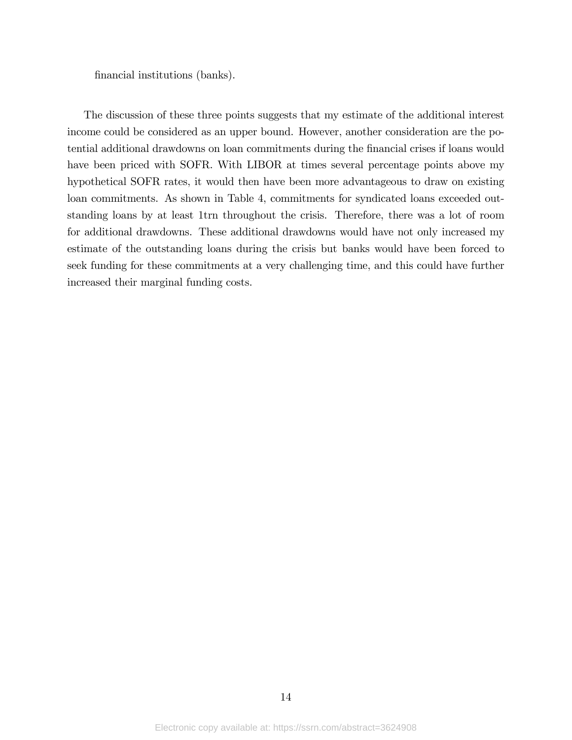financial institutions (banks).

The discussion of these three points suggests that my estimate of the additional interest income could be considered as an upper bound. However, another consideration are the potential additional drawdowns on loan commitments during the financial crises if loans would have been priced with SOFR. With LIBOR at times several percentage points above my hypothetical SOFR rates, it would then have been more advantageous to draw on existing loan commitments. As shown in Table 4, commitments for syndicated loans exceeded outstanding loans by at least 1trn throughout the crisis. Therefore, there was a lot of room for additional drawdowns. These additional drawdowns would have not only increased my estimate of the outstanding loans during the crisis but banks would have been forced to seek funding for these commitments at a very challenging time, and this could have further increased their marginal funding costs.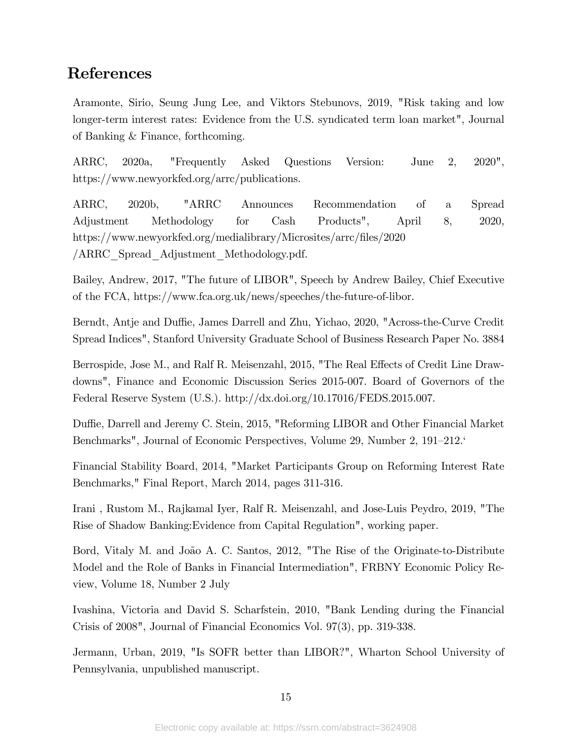### References

Aramonte, Sirio, Seung Jung Lee, and Viktors Stebunovs, 2019, "Risk taking and low longer-term interest rates: Evidence from the U.S. syndicated term loan market", Journal of Banking & Finance, forthcoming.

ARRC, 2020a, "Frequently Asked Questions Version: June 2, 2020", https://www.newyorkfed.org/arrc/publications.

ARRC, 2020b, "ARRC Announces Recommendation of a Spread Adjustment Methodology for Cash Products", April 8, 2020, https://www.newyorkfed.org/medialibrary/Microsites/arrc/files/2020 /ARRC\_Spread\_Adjustment\_Methodology.pdf.

Bailey, Andrew, 2017, "The future of LIBOR", Speech by Andrew Bailey, Chief Executive of the FCA, https://www.fca.org.uk/news/speeches/the-future-of-libor.

Berndt, Antje and Duffie, James Darrell and Zhu, Yichao, 2020, "Across-the-Curve Credit Spread Indices", Stanford University Graduate School of Business Research Paper No. 3884

Berrospide, Jose M., and Ralf R. Meisenzahl, 2015, "The Real Effects of Credit Line Drawdowns", Finance and Economic Discussion Series 2015-007. Board of Governors of the Federal Reserve System (U.S.). http://dx.doi.org/10.17016/FEDS.2015.007.

Duffie, Darrell and Jeremy C. Stein, 2015, "Reforming LIBOR and Other Financial Market Benchmarks", Journal of Economic Perspectives, Volume 29, Number 2, 191–212.<sup> $\epsilon$ </sup>

Financial Stability Board, 2014, "Market Participants Group on Reforming Interest Rate Benchmarks," Final Report, March 2014, pages 311-316.

Irani , Rustom M., Rajkamal Iyer, Ralf R. Meisenzahl, and Jose-Luis Peydro, 2019, "The Rise of Shadow Banking:Evidence from Capital Regulation", working paper.

Bord, Vitaly M. and João A. C. Santos, 2012, "The Rise of the Originate-to-Distribute Model and the Role of Banks in Financial Intermediation", FRBNY Economic Policy Review, Volume 18, Number 2 July

Ivashina, Victoria and David S. Scharfstein, 2010, "Bank Lending during the Financial Crisis of 2008", Journal of Financial Economics Vol. 97(3), pp. 319-338.

Jermann, Urban, 2019, "Is SOFR better than LIBOR?", Wharton School University of Pennsylvania, unpublished manuscript.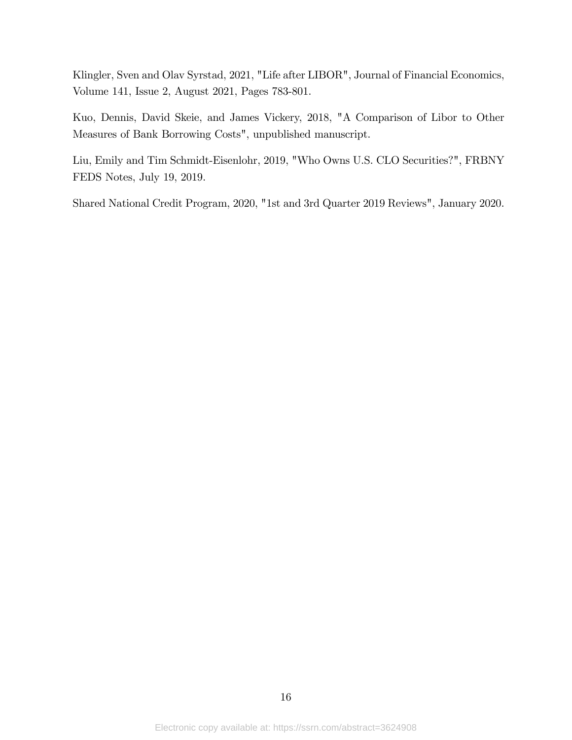Klingler, Sven and Olav Syrstad, 2021, "Life after LIBOR", Journal of Financial Economics, Volume 141, Issue 2, August 2021, Pages 783-801.

Kuo, Dennis, David Skeie, and James Vickery, 2018, "A Comparison of Libor to Other Measures of Bank Borrowing Costs", unpublished manuscript.

Liu, Emily and Tim Schmidt-Eisenlohr, 2019, "Who Owns U.S. CLO Securities?", FRBNY FEDS Notes, July 19, 2019.

Shared National Credit Program, 2020, "1st and 3rd Quarter 2019 Reviews", January 2020.